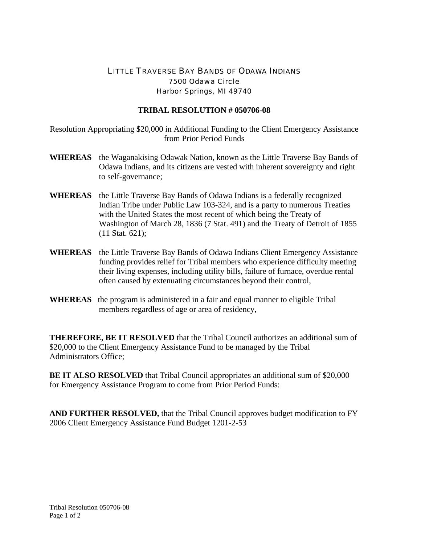## LITTLE TRAVERSE BAY BANDS OF ODAWA INDIANS 7500 Odawa Circle Harbor Springs, MI 49740

## **TRIBAL RESOLUTION # 050706-08**

Resolution Appropriating \$20,000 in Additional Funding to the Client Emergency Assistance from Prior Period Funds

- **WHEREAS** the Waganakising Odawak Nation, known as the Little Traverse Bay Bands of Odawa Indians, and its citizens are vested with inherent sovereignty and right to self-governance;
- **WHEREAS** the Little Traverse Bay Bands of Odawa Indians is a federally recognized Indian Tribe under Public Law 103-324, and is a party to numerous Treaties with the United States the most recent of which being the Treaty of Washington of March 28, 1836 (7 Stat. 491) and the Treaty of Detroit of 1855 (11 Stat. 621);
- **WHEREAS** the Little Traverse Bay Bands of Odawa Indians Client Emergency Assistance funding provides relief for Tribal members who experience difficulty meeting their living expenses, including utility bills, failure of furnace, overdue rental often caused by extenuating circumstances beyond their control,
- **WHEREAS** the program is administered in a fair and equal manner to eligible Tribal members regardless of age or area of residency,

**THEREFORE, BE IT RESOLVED** that the Tribal Council authorizes an additional sum of \$20,000 to the Client Emergency Assistance Fund to be managed by the Tribal Administrators Office;

**BE IT ALSO RESOLVED** that Tribal Council appropriates an additional sum of \$20,000 for Emergency Assistance Program to come from Prior Period Funds:

**AND FURTHER RESOLVED,** that the Tribal Council approves budget modification to FY 2006 Client Emergency Assistance Fund Budget 1201-2-53